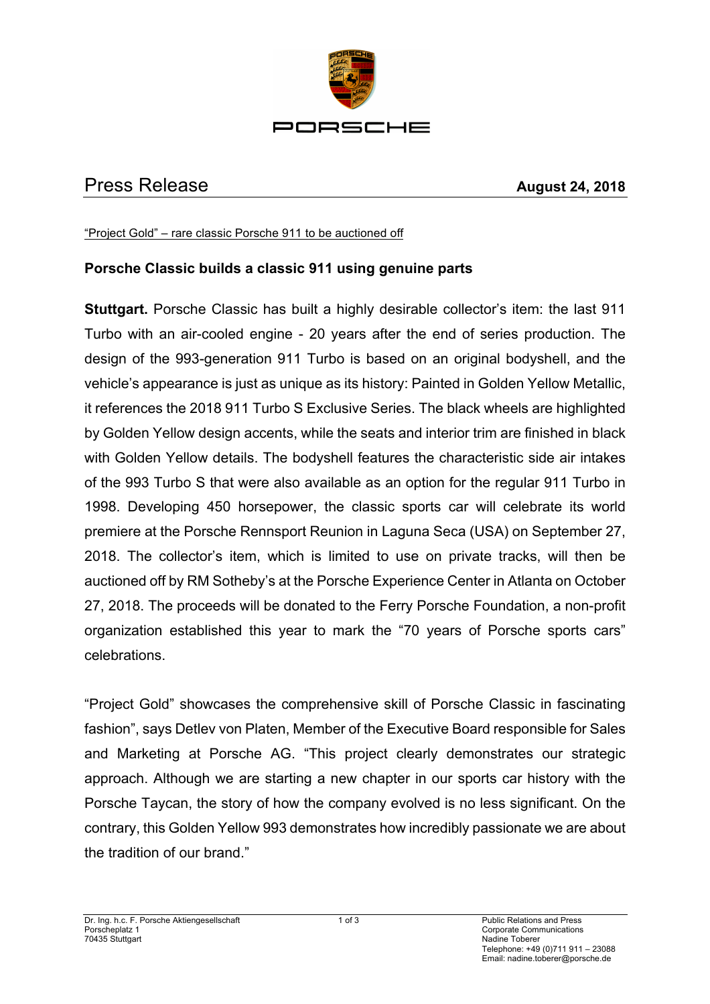

## Press Release **August 24, 2018**

"Project Gold" – rare classic Porsche 911 to be auctioned off

## **Porsche Classic builds a classic 911 using genuine parts**

**Stuttgart.** Porsche Classic has built a highly desirable collector's item: the last 911 Turbo with an air-cooled engine - 20 years after the end of series production. The design of the 993-generation 911 Turbo is based on an original bodyshell, and the vehicle's appearance is just as unique as its history: Painted in Golden Yellow Metallic, it references the 2018 911 Turbo S Exclusive Series. The black wheels are highlighted by Golden Yellow design accents, while the seats and interior trim are finished in black with Golden Yellow details. The bodyshell features the characteristic side air intakes of the 993 Turbo S that were also available as an option for the regular 911 Turbo in 1998. Developing 450 horsepower, the classic sports car will celebrate its world premiere at the Porsche Rennsport Reunion in Laguna Seca (USA) on September 27, 2018. The collector's item, which is limited to use on private tracks, will then be auctioned off by RM Sotheby's at the Porsche Experience Center in Atlanta on October 27, 2018. The proceeds will be donated to the Ferry Porsche Foundation, a non-profit organization established this year to mark the "70 years of Porsche sports cars" celebrations.

"Project Gold" showcases the comprehensive skill of Porsche Classic in fascinating fashion", says Detlev von Platen, Member of the Executive Board responsible for Sales and Marketing at Porsche AG. "This project clearly demonstrates our strategic approach. Although we are starting a new chapter in our sports car history with the Porsche Taycan, the story of how the company evolved is no less significant. On the contrary, this Golden Yellow 993 demonstrates how incredibly passionate we are about the tradition of our brand."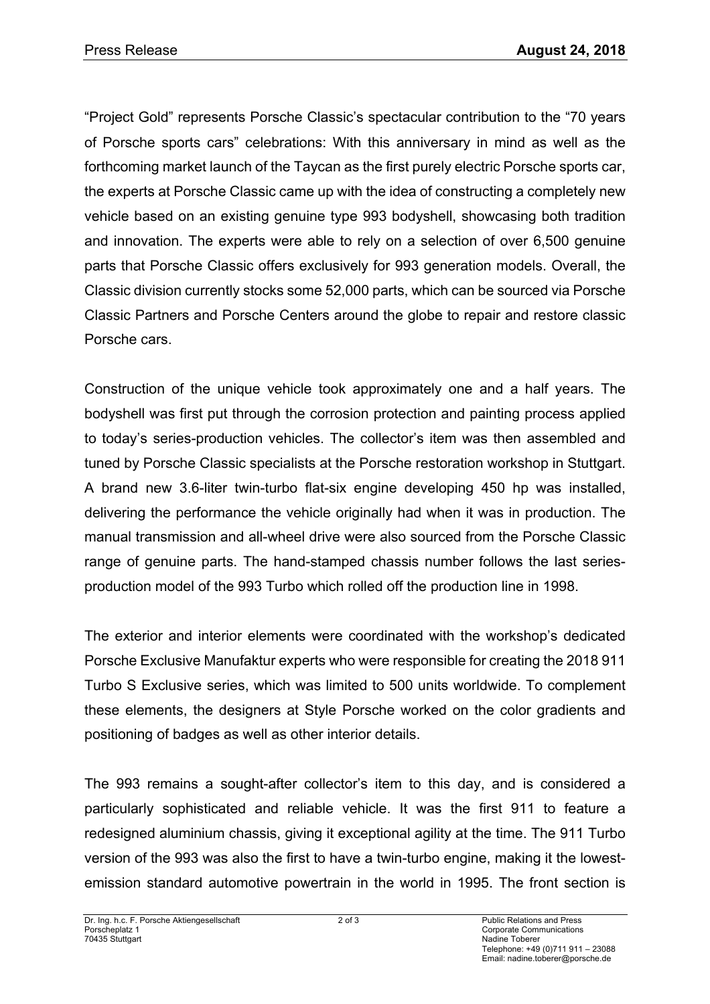"Project Gold" represents Porsche Classic's spectacular contribution to the "70 years of Porsche sports cars" celebrations: With this anniversary in mind as well as the forthcoming market launch of the Taycan as the first purely electric Porsche sports car, the experts at Porsche Classic came up with the idea of constructing a completely new vehicle based on an existing genuine type 993 bodyshell, showcasing both tradition and innovation. The experts were able to rely on a selection of over 6,500 genuine parts that Porsche Classic offers exclusively for 993 generation models. Overall, the Classic division currently stocks some 52,000 parts, which can be sourced via Porsche Classic Partners and Porsche Centers around the globe to repair and restore classic Porsche cars.

Construction of the unique vehicle took approximately one and a half years. The bodyshell was first put through the corrosion protection and painting process applied to today's series-production vehicles. The collector's item was then assembled and tuned by Porsche Classic specialists at the Porsche restoration workshop in Stuttgart. A brand new 3.6-liter twin-turbo flat-six engine developing 450 hp was installed, delivering the performance the vehicle originally had when it was in production. The manual transmission and all-wheel drive were also sourced from the Porsche Classic range of genuine parts. The hand-stamped chassis number follows the last seriesproduction model of the 993 Turbo which rolled off the production line in 1998.

The exterior and interior elements were coordinated with the workshop's dedicated Porsche Exclusive Manufaktur experts who were responsible for creating the 2018 911 Turbo S Exclusive series, which was limited to 500 units worldwide. To complement these elements, the designers at Style Porsche worked on the color gradients and positioning of badges as well as other interior details.

The 993 remains a sought-after collector's item to this day, and is considered a particularly sophisticated and reliable vehicle. It was the first 911 to feature a redesigned aluminium chassis, giving it exceptional agility at the time. The 911 Turbo version of the 993 was also the first to have a twin-turbo engine, making it the lowestemission standard automotive powertrain in the world in 1995. The front section is